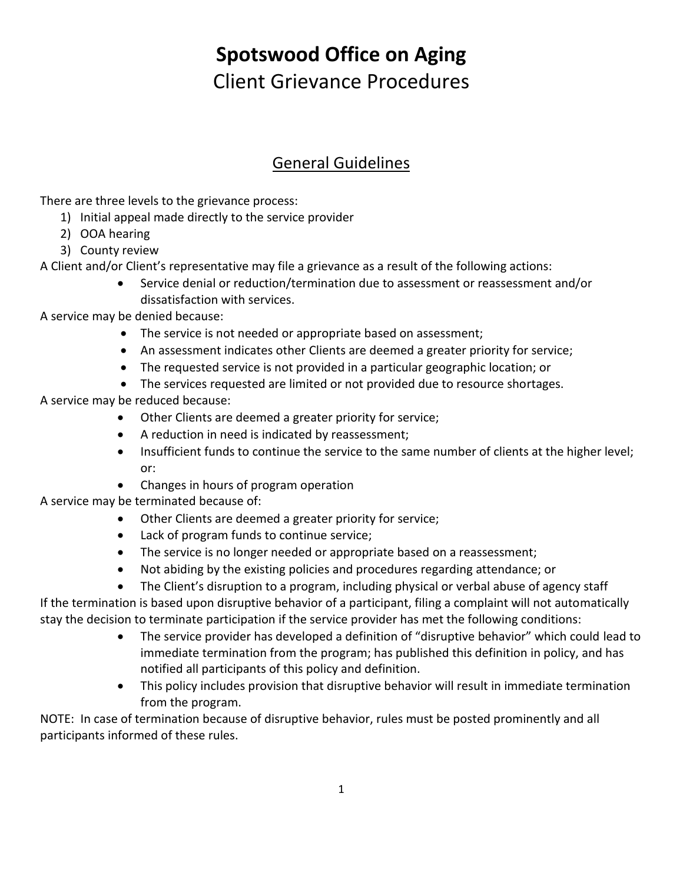# **Spotswood Office on Aging** Client Grievance Procedures

## General Guidelines

There are three levels to the grievance process:

- 1) Initial appeal made directly to the service provider
- 2) OOA hearing
- 3) County review

A Client and/or Client's representative may file a grievance as a result of the following actions:

 Service denial or reduction/termination due to assessment or reassessment and/or dissatisfaction with services.

A service may be denied because:

- The service is not needed or appropriate based on assessment;
- An assessment indicates other Clients are deemed a greater priority for service;
- The requested service is not provided in a particular geographic location; or
- The services requested are limited or not provided due to resource shortages.

A service may be reduced because:

- Other Clients are deemed a greater priority for service;
- A reduction in need is indicated by reassessment;
- Insufficient funds to continue the service to the same number of clients at the higher level; or:
- Changes in hours of program operation

A service may be terminated because of:

- Other Clients are deemed a greater priority for service;
- Lack of program funds to continue service;
- The service is no longer needed or appropriate based on a reassessment;
- Not abiding by the existing policies and procedures regarding attendance; or
- The Client's disruption to a program, including physical or verbal abuse of agency staff

If the termination is based upon disruptive behavior of a participant, filing a complaint will not automatically stay the decision to terminate participation if the service provider has met the following conditions:

- The service provider has developed a definition of "disruptive behavior" which could lead to immediate termination from the program; has published this definition in policy, and has notified all participants of this policy and definition.
- This policy includes provision that disruptive behavior will result in immediate termination from the program.

NOTE: In case of termination because of disruptive behavior, rules must be posted prominently and all participants informed of these rules.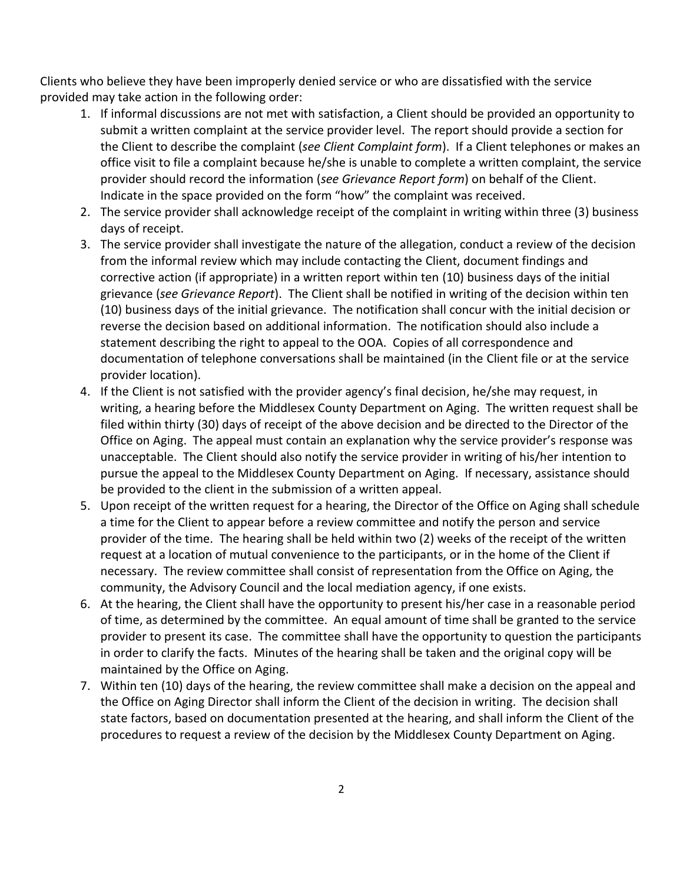Clients who believe they have been improperly denied service or who are dissatisfied with the service provided may take action in the following order:

- 1. If informal discussions are not met with satisfaction, a Client should be provided an opportunity to submit a written complaint at the service provider level. The report should provide a section for the Client to describe the complaint (*see Client Complaint form*). If a Client telephones or makes an office visit to file a complaint because he/she is unable to complete a written complaint, the service provider should record the information (*see Grievance Report form*) on behalf of the Client. Indicate in the space provided on the form "how" the complaint was received.
- 2. The service provider shall acknowledge receipt of the complaint in writing within three (3) business days of receipt.
- 3. The service provider shall investigate the nature of the allegation, conduct a review of the decision from the informal review which may include contacting the Client, document findings and corrective action (if appropriate) in a written report within ten (10) business days of the initial grievance (*see Grievance Report*). The Client shall be notified in writing of the decision within ten (10) business days of the initial grievance. The notification shall concur with the initial decision or reverse the decision based on additional information. The notification should also include a statement describing the right to appeal to the OOA. Copies of all correspondence and documentation of telephone conversations shall be maintained (in the Client file or at the service provider location).
- 4. If the Client is not satisfied with the provider agency's final decision, he/she may request, in writing, a hearing before the Middlesex County Department on Aging. The written request shall be filed within thirty (30) days of receipt of the above decision and be directed to the Director of the Office on Aging. The appeal must contain an explanation why the service provider's response was unacceptable. The Client should also notify the service provider in writing of his/her intention to pursue the appeal to the Middlesex County Department on Aging. If necessary, assistance should be provided to the client in the submission of a written appeal.
- 5. Upon receipt of the written request for a hearing, the Director of the Office on Aging shall schedule a time for the Client to appear before a review committee and notify the person and service provider of the time. The hearing shall be held within two (2) weeks of the receipt of the written request at a location of mutual convenience to the participants, or in the home of the Client if necessary. The review committee shall consist of representation from the Office on Aging, the community, the Advisory Council and the local mediation agency, if one exists.
- 6. At the hearing, the Client shall have the opportunity to present his/her case in a reasonable period of time, as determined by the committee. An equal amount of time shall be granted to the service provider to present its case. The committee shall have the opportunity to question the participants in order to clarify the facts. Minutes of the hearing shall be taken and the original copy will be maintained by the Office on Aging.
- 7. Within ten (10) days of the hearing, the review committee shall make a decision on the appeal and the Office on Aging Director shall inform the Client of the decision in writing. The decision shall state factors, based on documentation presented at the hearing, and shall inform the Client of the procedures to request a review of the decision by the Middlesex County Department on Aging.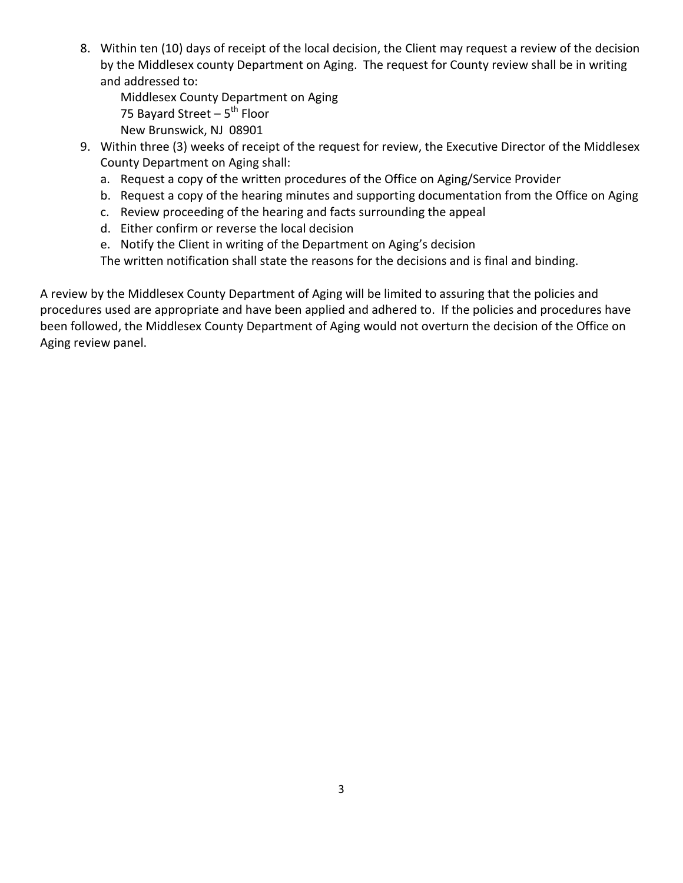8. Within ten (10) days of receipt of the local decision, the Client may request a review of the decision by the Middlesex county Department on Aging. The request for County review shall be in writing and addressed to:

Middlesex County Department on Aging 75 Bayard Street – 5<sup>th</sup> Floor New Brunswick, NJ 08901

- 9. Within three (3) weeks of receipt of the request for review, the Executive Director of the Middlesex County Department on Aging shall:
	- a. Request a copy of the written procedures of the Office on Aging/Service Provider
	- b. Request a copy of the hearing minutes and supporting documentation from the Office on Aging
	- c. Review proceeding of the hearing and facts surrounding the appeal
	- d. Either confirm or reverse the local decision
	- e. Notify the Client in writing of the Department on Aging's decision

The written notification shall state the reasons for the decisions and is final and binding.

A review by the Middlesex County Department of Aging will be limited to assuring that the policies and procedures used are appropriate and have been applied and adhered to. If the policies and procedures have been followed, the Middlesex County Department of Aging would not overturn the decision of the Office on Aging review panel.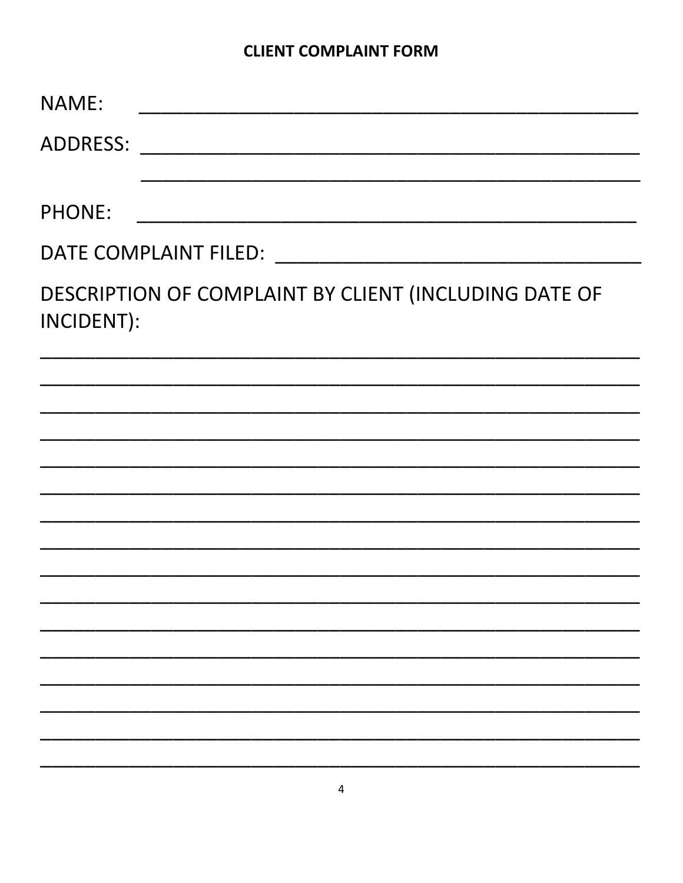### **CLIENT COMPLAINT FORM**

| NAME:                                                               |  |  |  |  |
|---------------------------------------------------------------------|--|--|--|--|
| <b>ADDRESS:</b>                                                     |  |  |  |  |
|                                                                     |  |  |  |  |
| <b>PHONE:</b>                                                       |  |  |  |  |
| DATE COMPLAINT FILED: NATE COMPLAINT FILED:                         |  |  |  |  |
| DESCRIPTION OF COMPLAINT BY CLIENT (INCLUDING DATE OF<br>INCIDENT): |  |  |  |  |
|                                                                     |  |  |  |  |
|                                                                     |  |  |  |  |
|                                                                     |  |  |  |  |
|                                                                     |  |  |  |  |
|                                                                     |  |  |  |  |
|                                                                     |  |  |  |  |
|                                                                     |  |  |  |  |
|                                                                     |  |  |  |  |
|                                                                     |  |  |  |  |
|                                                                     |  |  |  |  |
|                                                                     |  |  |  |  |
|                                                                     |  |  |  |  |
|                                                                     |  |  |  |  |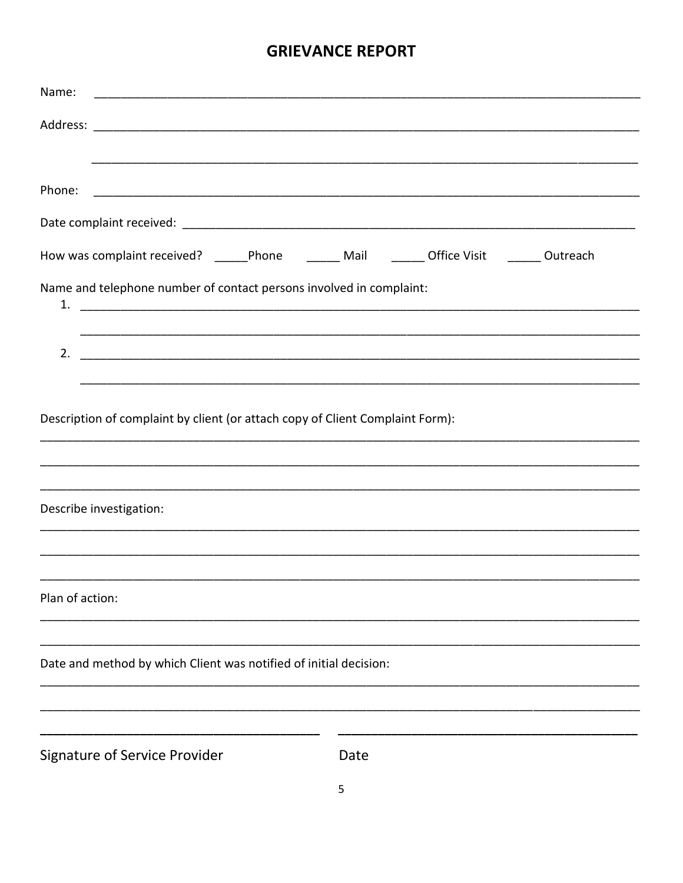### **GRIEVANCE REPORT**

| Name:                                                                                          |  |  |  |
|------------------------------------------------------------------------------------------------|--|--|--|
|                                                                                                |  |  |  |
|                                                                                                |  |  |  |
|                                                                                                |  |  |  |
| How was complaint received? ______Phone _________ Mail _________ Office Visit _______ Outreach |  |  |  |
| Name and telephone number of contact persons involved in complaint:                            |  |  |  |
|                                                                                                |  |  |  |
|                                                                                                |  |  |  |
| Description of complaint by client (or attach copy of Client Complaint Form):                  |  |  |  |
|                                                                                                |  |  |  |
| Describe investigation:                                                                        |  |  |  |
|                                                                                                |  |  |  |
| Plan of action:                                                                                |  |  |  |
| Date and method by which Client was notified of initial decision:                              |  |  |  |
|                                                                                                |  |  |  |
|                                                                                                |  |  |  |
| <b>Signature of Service Provider</b><br>Date                                                   |  |  |  |